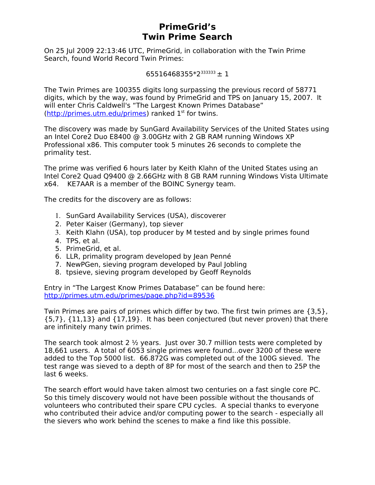## **PrimeGrid's Twin Prime Search**

On 25 Jul 2009 22:13:46 UTC, PrimeGrid, in collaboration with the Twin Prime Search, found World Record Twin Primes:

```
65516468355*2<sup>333333</sup> ± 1
```
The Twin Primes are 100355 digits long surpassing the previous record of 58771 digits, which by the way, was found by PrimeGrid and TPS on January 15, 2007. It will enter Chris Caldwell's "The Largest Known Primes Database"  $(http://primes.utm.edu/primes)$  ranked  $1<sup>st</sup>$  for twins.

The discovery was made by SunGard Availability Services of the United States using an Intel Core2 Duo E8400 @ 3.00GHz with 2 GB RAM running Windows XP Professional x86. This computer took 5 minutes 26 seconds to complete the primality test.

The prime was verified 6 hours later by Keith Klahn of the United States using an Intel Core2 Quad Q9400 @ 2.66GHz with 8 GB RAM running Windows Vista Ultimate x64. KE7AAR is a member of the BOINC Synergy team.

The credits for the discovery are as follows:

- 1. SunGard Availability Services (USA), discoverer
- 2. Peter Kaiser (Germany), top siever
- 3. Keith Klahn (USA), top producer by M tested and by single primes found
- 4. TPS, et al.
- 5. PrimeGrid, et al.
- 6. LLR, primality program developed by Jean Penné
- 7. NewPGen, sieving program developed by Paul Jobling
- 8. tpsieve, sieving program developed by Geoff Reynolds

Entry in "The Largest Know Primes Database" can be found here: <http://primes.utm.edu/primes/page.php?id=89536>

Twin Primes are pairs of primes which differ by two. The first twin primes are {3,5}, {5,7}, {11,13} and {17,19}. It has been conjectured (but never proven) that there are infinitely many twin primes.

The search took almost 2 ½ years. Just over 30.7 million tests were completed by 18,661 users. A total of 6053 single primes were found...over 3200 of these were added to the Top 5000 list. 66.872G was completed out of the 100G sieved. The test range was sieved to a depth of 8P for most of the search and then to 25P the last 6 weeks.

The search effort would have taken almost two centuries on a fast single core PC. So this timely discovery would not have been possible without the thousands of volunteers who contributed their spare CPU cycles. A special thanks to everyone who contributed their advice and/or computing power to the search - especially all the sievers who work behind the scenes to make a find like this possible.